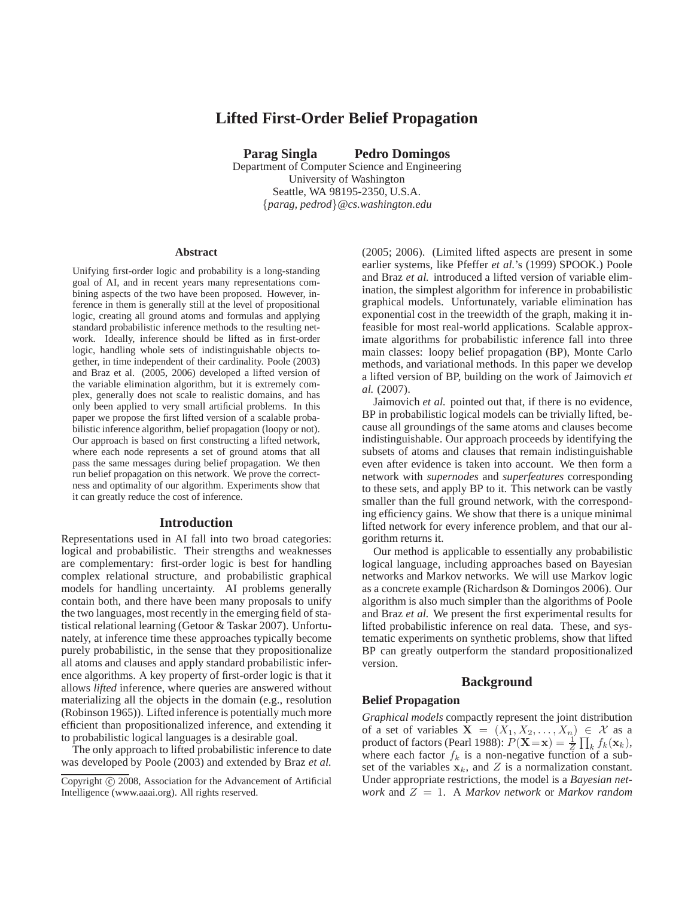# **Lifted First-Order Belief Propagation**

**Parag Singla Pedro Domingos**

Department of Computer Science and Engineering University of Washington Seattle, WA 98195-2350, U.S.A. {*parag, pedrod*}*@cs.washington.edu*

#### **Abstract**

Unifying first-order logic and probability is a long-standing goal of AI, and in recent years many representations combining aspects of the two have been proposed. However, inference in them is generally still at the level of propositional logic, creating all ground atoms and formulas and applying standard probabilistic inference methods to the resulting network. Ideally, inference should be lifted as in first-order logic, handling whole sets of indistinguishable objects together, in time independent of their cardinality. Poole (2003) and Braz et al. (2005, 2006) developed a lifted version of the variable elimination algorithm, but it is extremely complex, generally does not scale to realistic domains, and has only been applied to very small artificial problems. In this paper we propose the first lifted version of a scalable probabilistic inference algorithm, belief propagation (loopy or not). Our approach is based on first constructing a lifted network, where each node represents a set of ground atoms that all pass the same messages during belief propagation. We then run belief propagation on this network. We prove the correctness and optimality of our algorithm. Experiments show that it can greatly reduce the cost of inference.

#### **Introduction**

Representations used in AI fall into two broad categories: logical and probabilistic. Their strengths and weaknesses are complementary: first-order logic is best for handling complex relational structure, and probabilistic graphical models for handling uncertainty. AI problems generally contain both, and there have been many proposals to unify the two languages, most recently in the emerging field of statistical relational learning (Getoor & Taskar 2007). Unfortunately, at inference time these approaches typically become purely probabilistic, in the sense that they propositionalize all atoms and clauses and apply standard probabilistic inference algorithms. A key property of first-order logic is that it allows *lifted* inference, where queries are answered without materializing all the objects in the domain (e.g., resolution (Robinson 1965)). Lifted inference is potentially much more efficient than propositionalized inference, and extending it to probabilistic logical languages is a desirable goal.

The only approach to lifted probabilistic inference to date was developed by Poole (2003) and extended by Braz *et al.*

(2005; 2006). (Limited lifted aspects are present in some earlier systems, like Pfeffer *et al.*'s (1999) SPOOK.) Poole and Braz *et al.* introduced a lifted version of variable elimination, the simplest algorithm for inference in probabilistic graphical models. Unfortunately, variable elimination has exponential cost in the treewidth of the graph, making it infeasible for most real-world applications. Scalable approximate algorithms for probabilistic inference fall into three main classes: loopy belief propagation (BP), Monte Carlo methods, and variational methods. In this paper we develop a lifted version of BP, building on the work of Jaimovich *et al.* (2007).

Jaimovich *et al.* pointed out that, if there is no evidence, BP in probabilistic logical models can be trivially lifted, because all groundings of the same atoms and clauses become indistinguishable. Our approach proceeds by identifying the subsets of atoms and clauses that remain indistinguishable even after evidence is taken into account. We then form a network with *supernodes* and *superfeatures* corresponding to these sets, and apply BP to it. This network can be vastly smaller than the full ground network, with the corresponding efficiency gains. We show that there is a unique minimal lifted network for every inference problem, and that our algorithm returns it.

Our method is applicable to essentially any probabilistic logical language, including approaches based on Bayesian networks and Markov networks. We will use Markov logic as a concrete example (Richardson & Domingos 2006). Our algorithm is also much simpler than the algorithms of Poole and Braz *et al.* We present the first experimental results for lifted probabilistic inference on real data. These, and systematic experiments on synthetic problems, show that lifted BP can greatly outperform the standard propositionalized version.

#### **Background**

#### **Belief Propagation**

*Graphical models* compactly represent the joint distribution of a set of variables  $X = (X_1, X_2, \ldots, X_n) \in \mathcal{X}$  as a product of factors (Pearl 1988):  $P(\mathbf{X} = \mathbf{x}) = \frac{1}{Z} \prod_k f_k(\mathbf{x}_k)$ , where each factor  $f_k$  is a non-negative function of a subset of the variables  $x_k$ , and Z is a normalization constant. Under appropriate restrictions, the model is a *Bayesian network* and Z = 1. A *Markov network* or *Markov random*

Copyright (c) 2008, Association for the Advancement of Artificial Intelligence (www.aaai.org). All rights reserved.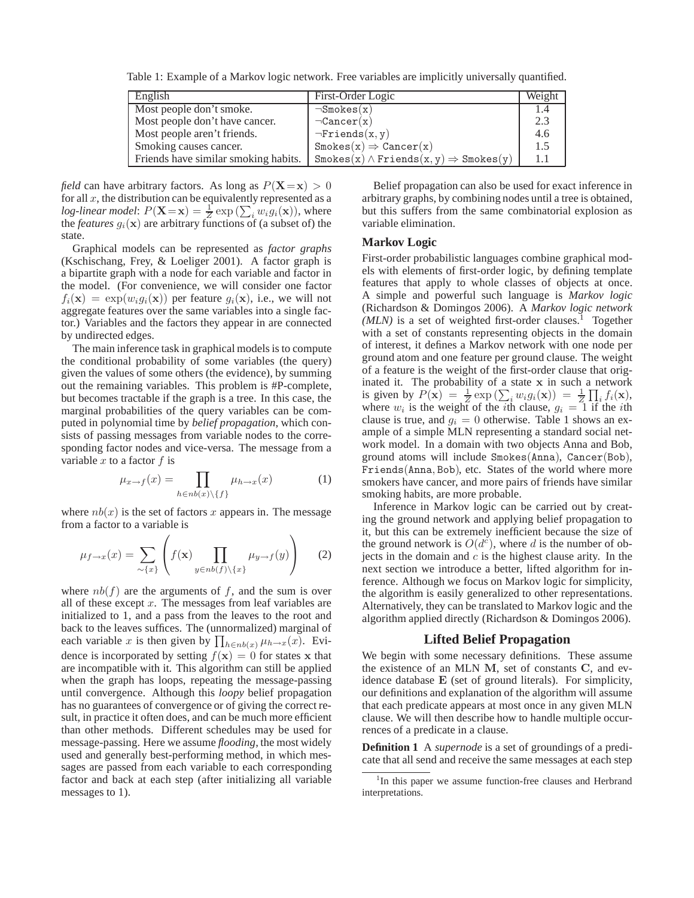Table 1: Example of a Markov logic network. Free variables are implicitly universally quantified.

| English                              | First-Order Logic                                      | Weight |
|--------------------------------------|--------------------------------------------------------|--------|
| Most people don't smoke.             | $\neg$ Smokes $(x)$                                    | 14     |
| Most people don't have cancer.       | $\neg \texttt{Cancer}(x)$                              | 2.3    |
| Most people aren't friends.          | $\neg$ Friends $(x, y)$                                | 4.6    |
| Smoking causes cancer.               | $Smokes(x) \Rightarrow Cancer(x)$                      | 1.5    |
| Friends have similar smoking habits. | $Smokes(x) \wedge Friends(x, y) \Rightarrow Smokes(y)$ |        |

*field* can have arbitrary factors. As long as  $P(X=x) > 0$ for all  $x$ , the distribution can be equivalently represented as a *log-linear model:*  $P(\mathbf{X} = \mathbf{x}) = \frac{1}{Z} \exp\left(\sum_i w_i g_i(\mathbf{x})\right)$ , where the *features*  $g_i(\mathbf{x})$  are arbitrary functions of (a subset of) the state.

Graphical models can be represented as *factor graphs* (Kschischang, Frey, & Loeliger 2001). A factor graph is a bipartite graph with a node for each variable and factor in the model. (For convenience, we will consider one factor  $f_i(\mathbf{x}) = \exp(w_i g_i(\mathbf{x}))$  per feature  $g_i(\mathbf{x})$ , i.e., we will not aggregate features over the same variables into a single factor.) Variables and the factors they appear in are connected by undirected edges.

The main inference task in graphical models is to compute the conditional probability of some variables (the query) given the values of some others (the evidence), by summing out the remaining variables. This problem is #P-complete, but becomes tractable if the graph is a tree. In this case, the marginal probabilities of the query variables can be computed in polynomial time by *belief propagation*, which consists of passing messages from variable nodes to the corresponding factor nodes and vice-versa. The message from a variable  $x$  to a factor  $f$  is

$$
\mu_{x \to f}(x) = \prod_{h \in nb(x) \setminus \{f\}} \mu_{h \to x}(x) \tag{1}
$$

where  $nb(x)$  is the set of factors x appears in. The message from a factor to a variable is

$$
\mu_{f \to x}(x) = \sum_{\sim \{x\}} \left( f(\mathbf{x}) \prod_{y \in nb(f) \setminus \{x\}} \mu_{y \to f}(y) \right) \tag{2}
$$

where  $nb(f)$  are the arguments of f, and the sum is over all of these except  $x$ . The messages from leaf variables are initialized to 1, and a pass from the leaves to the root and back to the leaves suffices. The (unnormalized) marginal of each variable x is then given by  $\prod_{h \in nb(x)} \mu_{h \to x}(x)$ . Evidence is incorporated by setting  $f(\mathbf{x}) = 0$  for states x that are incompatible with it. This algorithm can still be applied when the graph has loops, repeating the message-passing until convergence. Although this *loopy* belief propagation has no guarantees of convergence or of giving the correct result, in practice it often does, and can be much more efficient than other methods. Different schedules may be used for message-passing. Here we assume *flooding*, the most widely used and generally best-performing method, in which messages are passed from each variable to each corresponding factor and back at each step (after initializing all variable messages to 1).

Belief propagation can also be used for exact inference in arbitrary graphs, by combining nodes until a tree is obtained, but this suffers from the same combinatorial explosion as variable elimination.

## **Markov Logic**

First-order probabilistic languages combine graphical models with elements of first-order logic, by defining template features that apply to whole classes of objects at once. A simple and powerful such language is *Markov logic* (Richardson & Domingos 2006). A *Markov logic network*  $(MLN)$  is a set of weighted first-order clauses.<sup>1</sup> Together with a set of constants representing objects in the domain of interest, it defines a Markov network with one node per ground atom and one feature per ground clause. The weight of a feature is the weight of the first-order clause that originated it. The probability of a state x in such a network is given by  $P(\mathbf{x}) = \frac{1}{Z} \exp\left(\sum_i w_i g_i(\mathbf{x})\right) = \frac{1}{Z} \prod_i f_i(\mathbf{x}),$ where  $w_i$  is the weight of the *i*th clause,  $g_i = 1$  if the *i*th clause is true, and  $g_i = 0$  otherwise. Table 1 shows an example of a simple MLN representing a standard social network model. In a domain with two objects Anna and Bob, ground atoms will include Smokes(Anna), Cancer(Bob), Friends(Anna, Bob), etc. States of the world where more smokers have cancer, and more pairs of friends have similar smoking habits, are more probable.

Inference in Markov logic can be carried out by creating the ground network and applying belief propagation to it, but this can be extremely inefficient because the size of the ground network is  $O(d^{\tilde{c}})$ , where d is the number of objects in the domain and  $c$  is the highest clause arity. In the next section we introduce a better, lifted algorithm for inference. Although we focus on Markov logic for simplicity, the algorithm is easily generalized to other representations. Alternatively, they can be translated to Markov logic and the algorithm applied directly (Richardson & Domingos 2006).

#### **Lifted Belief Propagation**

We begin with some necessary definitions. These assume the existence of an MLN M, set of constants C, and evidence database E (set of ground literals). For simplicity, our definitions and explanation of the algorithm will assume that each predicate appears at most once in any given MLN clause. We will then describe how to handle multiple occurrences of a predicate in a clause.

**Definition 1** A *supernode* is a set of groundings of a predicate that all send and receive the same messages at each step

<sup>&</sup>lt;sup>1</sup>In this paper we assume function-free clauses and Herbrand interpretations.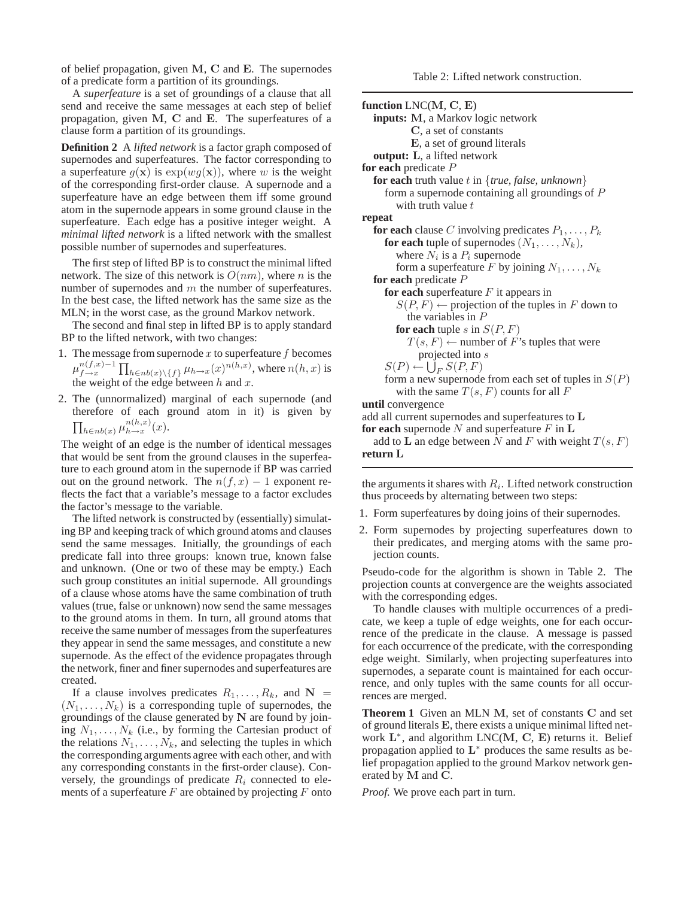of belief propagation, given M, C and E. The supernodes of a predicate form a partition of its groundings.

A *superfeature* is a set of groundings of a clause that all send and receive the same messages at each step of belief propagation, given M, C and E. The superfeatures of a clause form a partition of its groundings.

**Definition 2** A *lifted network* is a factor graph composed of supernodes and superfeatures. The factor corresponding to a superfeature  $g(x)$  is  $exp(wg(x))$ , where w is the weight of the corresponding first-order clause. A supernode and a superfeature have an edge between them iff some ground atom in the supernode appears in some ground clause in the superfeature. Each edge has a positive integer weight. A *minimal lifted network* is a lifted network with the smallest possible number of supernodes and superfeatures.

The first step of lifted BP is to construct the minimal lifted network. The size of this network is  $O(nm)$ , where n is the number of supernodes and m the number of superfeatures. In the best case, the lifted network has the same size as the MLN; in the worst case, as the ground Markov network.

The second and final step in lifted BP is to apply standard BP to the lifted network, with two changes:

- 1. The message from supernode  $x$  to superfeature  $f$  becomes  $\mu^{n(f,x)-1}_{f \to x}$  $\prod_{f\to x}^{n(f,x)-1} \prod_{h\in nb(x)\setminus\{f\}}\mu_{h\to x}(x)^{n(h,x)}$ , where  $n(h,x)$  is the weight of the edge between  $h$  and  $x$ .
- 2. The (unnormalized) marginal of each supernode (and therefore of each ground atom in it) is given by  $\prod_{h \in nb(x)} \mu_{h \to x}^{n(h,x)}$  $\frac{n(n,x)}{h\to x}(x)$ .

The weight of an edge is the number of identical messages that would be sent from the ground clauses in the superfeature to each ground atom in the supernode if BP was carried out on the ground network. The  $n(f, x) - 1$  exponent reflects the fact that a variable's message to a factor excludes the factor's message to the variable.

The lifted network is constructed by (essentially) simulating BP and keeping track of which ground atoms and clauses send the same messages. Initially, the groundings of each predicate fall into three groups: known true, known false and unknown. (One or two of these may be empty.) Each such group constitutes an initial supernode. All groundings of a clause whose atoms have the same combination of truth values (true, false or unknown) now send the same messages to the ground atoms in them. In turn, all ground atoms that receive the same number of messages from the superfeatures they appear in send the same messages, and constitute a new supernode. As the effect of the evidence propagates through the network, finer and finer supernodes and superfeatures are created.

If a clause involves predicates  $R_1, \ldots, R_k$ , and  $N =$  $(N_1, \ldots, N_k)$  is a corresponding tuple of supernodes, the groundings of the clause generated by N are found by joining  $N_1, \ldots, N_k$  (i.e., by forming the Cartesian product of the relations  $N_1, \ldots, N_k$ , and selecting the tuples in which the corresponding arguments agree with each other, and with any corresponding constants in the first-order clause). Conversely, the groundings of predicate  $R_i$  connected to elements of a superfeature  $F$  are obtained by projecting  $F$  onto

Table 2: Lifted network construction.

| function LNC(M, C, E)                                            |
|------------------------------------------------------------------|
| inputs: M, a Markov logic network                                |
| C, a set of constants                                            |
| E, a set of ground literals                                      |
| output: L, a lifted network                                      |
| for each predicate $P$                                           |
| for each truth value $t$ in {true, false, unknown}               |
| form a supernode containing all groundings of $P$                |
| with truth value $t$                                             |
| repeat                                                           |
| <b>for each</b> clause C involving predicates $P_1, \ldots, P_k$ |
| for each tuple of supernodes $(N_1, \ldots, N_k)$ ,              |
| where $N_i$ is a $P_i$ supernode                                 |
| form a superfeature F by joining $N_1, \ldots, N_k$              |
| for each predicate $P$                                           |
| for each superfeature $F$ it appears in                          |
| $S(P, F) \leftarrow$ projection of the tuples in F down to       |
| the variables in $P$                                             |
| for each tuple s in $S(P, F)$                                    |
| $T(s, F) \leftarrow$ number of F's tuples that were              |
| projected into s                                                 |
| $S(P) \leftarrow \bigcup_F S(P, F)$                              |
| form a new supernode from each set of tuples in $S(P)$           |
| with the same $T(s, F)$ counts for all F                         |
| until convergence                                                |
| add all current supernodes and superfeatures to L                |
| for each supernode $N$ and superfeature $F$ in $L$               |
| add to L an edge between N and F with weight $T(s, F)$           |
| return L                                                         |

the arguments it shares with  $R_i$ . Lifted network construction thus proceeds by alternating between two steps:

- 1. Form superfeatures by doing joins of their supernodes.
- 2. Form supernodes by projecting superfeatures down to their predicates, and merging atoms with the same projection counts.

Pseudo-code for the algorithm is shown in Table 2. The projection counts at convergence are the weights associated with the corresponding edges.

To handle clauses with multiple occurrences of a predicate, we keep a tuple of edge weights, one for each occurrence of the predicate in the clause. A message is passed for each occurrence of the predicate, with the corresponding edge weight. Similarly, when projecting superfeatures into supernodes, a separate count is maintained for each occurrence, and only tuples with the same counts for all occurrences are merged.

**Theorem 1** Given an MLN M, set of constants C and set of ground literals E, there exists a unique minimal lifted network  $L^*$ , and algorithm LNC(M, C, E) returns it. Belief propagation applied to  $L^*$  produces the same results as belief propagation applied to the ground Markov network generated by M and C.

*Proof.* We prove each part in turn.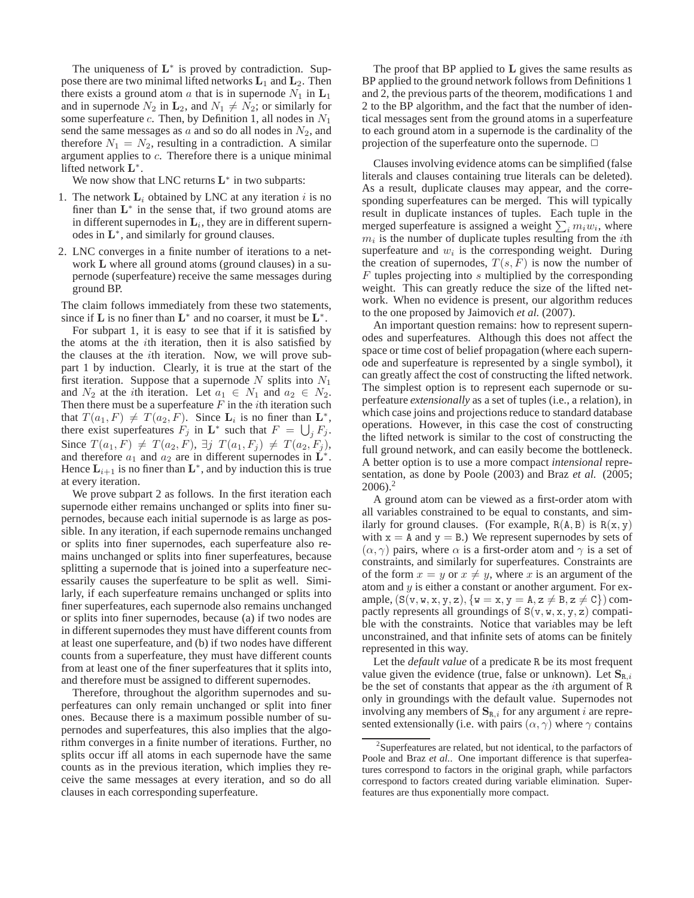The uniqueness of  $L^*$  is proved by contradiction. Suppose there are two minimal lifted networks  $L_1$  and  $L_2$ . Then there exists a ground atom  $a$  that is in supernode  $N_1$  in  $L_1$ and in supernode  $N_2$  in  $\mathbf{L}_2$ , and  $N_1 \neq N_2$ ; or similarly for some superfeature c. Then, by Definition 1, all nodes in  $N_1$ send the same messages as  $a$  and so do all nodes in  $N_2$ , and therefore  $N_1 = N_2$ , resulting in a contradiction. A similar argument applies to c. Therefore there is a unique minimal lifted network L<sup>\*</sup>.

We now show that LNC returns  $L^*$  in two subparts:

- 1. The network  $L_i$  obtained by LNC at any iteration i is no finer than  $L^*$  in the sense that, if two ground atoms are in different supernodes in  $L_i$ , they are in different supernodes in  $L^*$ , and similarly for ground clauses.
- 2. LNC converges in a finite number of iterations to a network **L** where all ground atoms (ground clauses) in a supernode (superfeature) receive the same messages during ground BP.

The claim follows immediately from these two statements, since if L is no finer than  $L^*$  and no coarser, it must be  $L^*$ .

For subpart 1, it is easy to see that if it is satisfied by the atoms at the  $i$ th iteration, then it is also satisfied by the clauses at the ith iteration. Now, we will prove subpart 1 by induction. Clearly, it is true at the start of the first iteration. Suppose that a supernode  $N$  splits into  $N_1$ and  $N_2$  at the *i*th iteration. Let  $a_1 \in N_1$  and  $a_2 \in N_2$ . Then there must be a superfeature  $F$  in the *i*th iteration such that  $T(a_1, F) \neq T(a_2, F)$ . Since  $\mathbf{L}_i$  is no finer than  $\mathbf{L}^*$ , there exist superfeatures  $F_j$  in  $\mathbf{L}^*$  such that  $F = \bigcup_j F_j$ . Since  $T(a_1, F) \neq T(a_2, F)$ ,  $\exists j$   $T(a_1, F_j) \neq T(a_2, F_j)$ , and therefore  $a_1$  and  $a_2$  are in different supernodes in  $\mathbf{L}^*$ . Hence  $\mathbf{L}_{i+1}$  is no finer than  $\mathbf{L}^*$ , and by induction this is true at every iteration.

We prove subpart 2 as follows. In the first iteration each supernode either remains unchanged or splits into finer supernodes, because each initial supernode is as large as possible. In any iteration, if each supernode remains unchanged or splits into finer supernodes, each superfeature also remains unchanged or splits into finer superfeatures, because splitting a supernode that is joined into a superfeature necessarily causes the superfeature to be split as well. Similarly, if each superfeature remains unchanged or splits into finer superfeatures, each supernode also remains unchanged or splits into finer supernodes, because (a) if two nodes are in different supernodes they must have different counts from at least one superfeature, and (b) if two nodes have different counts from a superfeature, they must have different counts from at least one of the finer superfeatures that it splits into, and therefore must be assigned to different supernodes.

Therefore, throughout the algorithm supernodes and superfeatures can only remain unchanged or split into finer ones. Because there is a maximum possible number of supernodes and superfeatures, this also implies that the algorithm converges in a finite number of iterations. Further, no splits occur iff all atoms in each supernode have the same counts as in the previous iteration, which implies they receive the same messages at every iteration, and so do all clauses in each corresponding superfeature.

The proof that BP applied to L gives the same results as BP applied to the ground network follows from Definitions 1 and 2, the previous parts of the theorem, modifications 1 and 2 to the BP algorithm, and the fact that the number of identical messages sent from the ground atoms in a superfeature to each ground atom in a supernode is the cardinality of the projection of the superfeature onto the supernode.  $\Box$ 

Clauses involving evidence atoms can be simplified (false literals and clauses containing true literals can be deleted). As a result, duplicate clauses may appear, and the corresponding superfeatures can be merged. This will typically result in duplicate instances of tuples. Each tuple in the merged superfeature is assigned a weight  $\sum_i m_i w_i$ , where  $m_i$  is the number of duplicate tuples resulting from the *i*th superfeature and  $w_i$  is the corresponding weight. During the creation of supernodes,  $T(s, F)$  is now the number of  $F$  tuples projecting into  $s$  multiplied by the corresponding weight. This can greatly reduce the size of the lifted network. When no evidence is present, our algorithm reduces to the one proposed by Jaimovich *et al.* (2007).

An important question remains: how to represent supernodes and superfeatures. Although this does not affect the space or time cost of belief propagation (where each supernode and superfeature is represented by a single symbol), it can greatly affect the cost of constructing the lifted network. The simplest option is to represent each supernode or superfeature *extensionally* as a set of tuples (i.e., a relation), in which case joins and projections reduce to standard database operations. However, in this case the cost of constructing the lifted network is similar to the cost of constructing the full ground network, and can easily become the bottleneck. A better option is to use a more compact *intensional* representation, as done by Poole (2003) and Braz *et al.* (2005;  $2006$ ).<sup>2</sup>

A ground atom can be viewed as a first-order atom with all variables constrained to be equal to constants, and similarly for ground clauses. (For example,  $R(A, B)$  is  $R(x, y)$ ) with  $x = A$  and  $y = B$ .) We represent supernodes by sets of  $(\alpha, \gamma)$  pairs, where  $\alpha$  is a first-order atom and  $\gamma$  is a set of constraints, and similarly for superfeatures. Constraints are of the form  $x = y$  or  $x \neq y$ , where x is an argument of the atom and  $y$  is either a constant or another argument. For example,  $(S(v, w, x, y, z), \{w = x, y = A, z \neq B, z \neq C\})$  compactly represents all groundings of  $S(v, w, x, y, z)$  compatible with the constraints. Notice that variables may be left unconstrained, and that infinite sets of atoms can be finitely represented in this way.

Let the *default value* of a predicate R be its most frequent value given the evidence (true, false or unknown). Let  $S_{R,i}$ be the set of constants that appear as the ith argument of R only in groundings with the default value. Supernodes not involving any members of  $S_{R,i}$  for any argument i are represented extensionally (i.e. with pairs  $(\alpha, \gamma)$  where  $\gamma$  contains

 $2$ Superfeatures are related, but not identical, to the parfactors of Poole and Braz *et al.*. One important difference is that superfeatures correspond to factors in the original graph, while parfactors correspond to factors created during variable elimination. Superfeatures are thus exponentially more compact.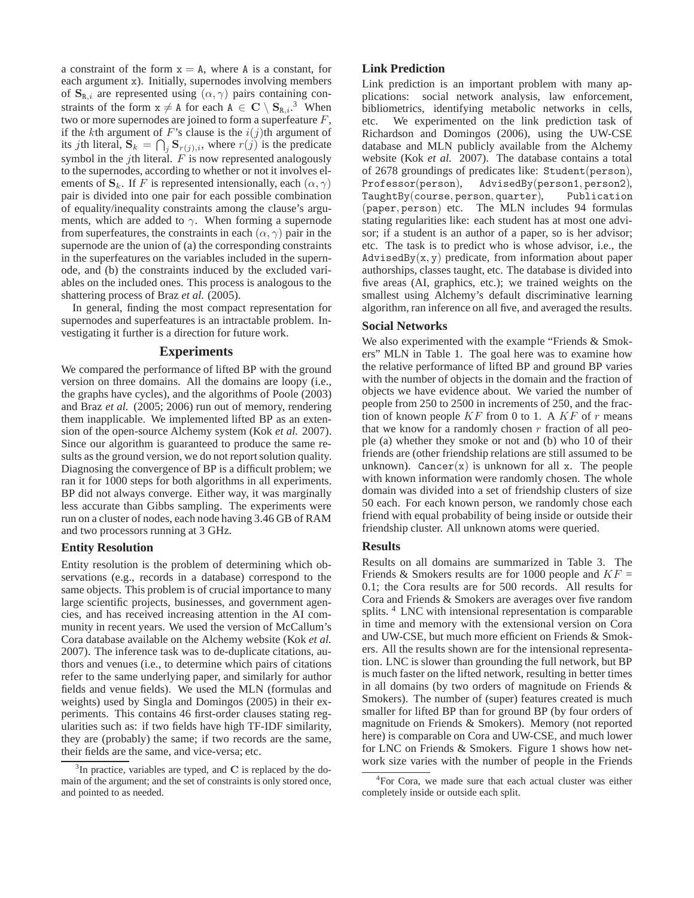a constraint of the form  $x = A$ , where A is a constant, for each argument x). Initially, supernodes involving members of  $S_{R,i}$  are represented using  $(\alpha, \gamma)$  pairs containing constraints of the form  $x \neq A$  for each  $A \in \mathbb{C} \setminus S_{R,i}$ .<sup>3</sup> When two or more supernodes are joined to form a superfeature  $F$ , if the kth argument of F's clause is the  $i(j)$ th argument of its *j*th literal,  $S_k = \bigcap_j S_{r(j),i}$ , where  $r(j)$  is the predicate symbol in the jth literal.  $F$  is now represented analogously to the supernodes, according to whether or not it involves elements of  $S_k$ . If F is represented intensionally, each  $(\alpha, \gamma)$ pair is divided into one pair for each possible combination of equality/inequality constraints among the clause's arguments, which are added to  $\gamma$ . When forming a supernode from superfeatures, the constraints in each  $(\alpha, \gamma)$  pair in the supernode are the union of (a) the corresponding constraints in the superfeatures on the variables included in the supernode, and (b) the constraints induced by the excluded variables on the included ones. This process is analogous to the shattering process of Braz *et al.* (2005).

In general, finding the most compact representation for supernodes and superfeatures is an intractable problem. Investigating it further is a direction for future work.

## **Experiments**

We compared the performance of lifted BP with the ground version on three domains. All the domains are loopy (i.e., the graphs have cycles), and the algorithms of Poole (2003) and Braz *et al.* (2005; 2006) run out of memory, rendering them inapplicable. We implemented lifted BP as an extension of the open-source Alchemy system (Kok *et al.* 2007). Since our algorithm is guaranteed to produce the same results as the ground version, we do not report solution quality. Diagnosing the convergence of BP is a difficult problem; we ran it for 1000 steps for both algorithms in all experiments. BP did not always converge. Either way, it was marginally less accurate than Gibbs sampling. The experiments were run on a cluster of nodes, each node having 3.46 GB of RAM and two processors running at 3 GHz.

## **Entity Resolution**

Entity resolution is the problem of determining which observations (e.g., records in a database) correspond to the same objects. This problem is of crucial importance to many large scientific projects, businesses, and government agencies, and has received increasing attention in the AI community in recent years. We used the version of McCallum's Cora database available on the Alchemy website (Kok *et al.* 2007). The inference task was to de-duplicate citations, authors and venues (i.e., to determine which pairs of citations refer to the same underlying paper, and similarly for author fields and venue fields). We used the MLN (formulas and weights) used by Singla and Domingos (2005) in their experiments. This contains 46 first-order clauses stating regularities such as: if two fields have high TF-IDF similarity, they are (probably) the same; if two records are the same, their fields are the same, and vice-versa; etc.

# **Link Prediction**

Link prediction is an important problem with many applications: social network analysis, law enforcement, bibliometrics, identifying metabolic networks in cells, etc. We experimented on the link prediction task of Richardson and Domingos (2006), using the UW-CSE database and MLN publicly available from the Alchemy website (Kok *et al.* 2007). The database contains a total of 2678 groundings of predicates like: Student(person), Professor(person), AdvisedBy(person1, person2), TaughtBy(course, person, quarter), Publication (paper, person) etc. The MLN includes 94 formulas stating regularities like: each student has at most one advisor; if a student is an author of a paper, so is her advisor; etc. The task is to predict who is whose advisor, i.e., the  $AdvisedBy(x, y)$  predicate, from information about paper authorships, classes taught, etc. The database is divided into five areas (AI, graphics, etc.); we trained weights on the smallest using Alchemy's default discriminative learning algorithm, ran inference on all five, and averaged the results.

#### **Social Networks**

We also experimented with the example "Friends & Smokers" MLN in Table 1. The goal here was to examine how the relative performance of lifted BP and ground BP varies with the number of objects in the domain and the fraction of objects we have evidence about. We varied the number of people from 250 to 2500 in increments of 250, and the fraction of known people  $KF$  from 0 to 1. A  $KF$  of r means that we know for a randomly chosen  $r$  fraction of all people (a) whether they smoke or not and (b) who 10 of their friends are (other friendship relations are still assumed to be unknown). Cancer $(x)$  is unknown for all x. The people with known information were randomly chosen. The whole domain was divided into a set of friendship clusters of size 50 each. For each known person, we randomly chose each friend with equal probability of being inside or outside their friendship cluster. All unknown atoms were queried.

## **Results**

Results on all domains are summarized in Table 3. The Friends & Smokers results are for 1000 people and  $KF =$ 0.1; the Cora results are for 500 records. All results for Cora and Friends & Smokers are averages over five random splits. <sup>4</sup> LNC with intensional representation is comparable in time and memory with the extensional version on Cora and UW-CSE, but much more efficient on Friends & Smokers. All the results shown are for the intensional representation. LNC is slower than grounding the full network, but BP is much faster on the lifted network, resulting in better times in all domains (by two orders of magnitude on Friends & Smokers). The number of (super) features created is much smaller for lifted BP than for ground BP (by four orders of magnitude on Friends & Smokers). Memory (not reported here) is comparable on Cora and UW-CSE, and much lower for LNC on Friends & Smokers. Figure 1 shows how network size varies with the number of people in the Friends

 $3$ In practice, variables are typed, and C is replaced by the domain of the argument; and the set of constraints is only stored once, and pointed to as needed.

<sup>4</sup> For Cora, we made sure that each actual cluster was either completely inside or outside each split.